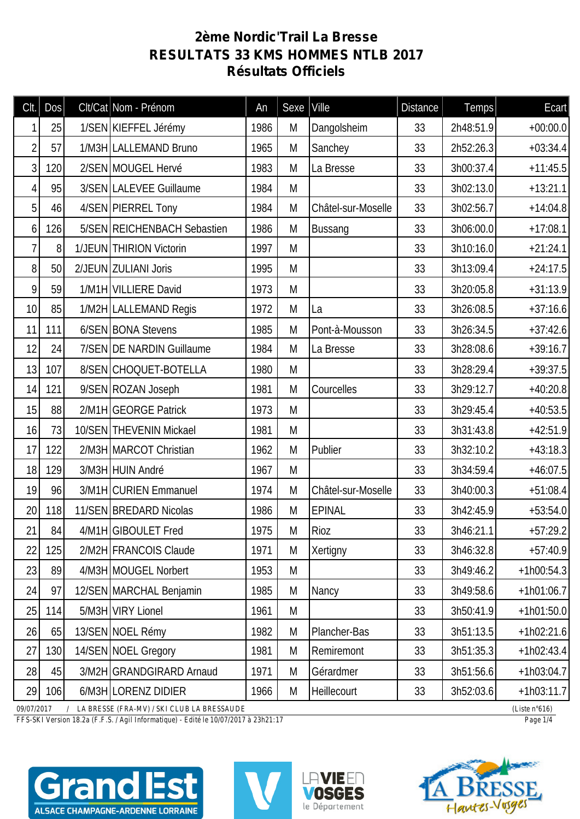## **2ème Nordic'Trail La Bresse RESULTATS 33 KMS HOMMES NTLB 2017 Résultats Officiels**

| CIt.            | Dos                                                                                        |  | Clt/Cat Nom - Prénom        | An   | Sexe | Ville              | <b>Distance</b> | Temps     | Ecart        |
|-----------------|--------------------------------------------------------------------------------------------|--|-----------------------------|------|------|--------------------|-----------------|-----------|--------------|
|                 | 25                                                                                         |  | 1/SEN KIEFFEL Jérémy        | 1986 | M    | Dangolsheim        | 33              | 2h48:51.9 | $+00:00.0$   |
| $\overline{2}$  | 57                                                                                         |  | 1/M3H LALLEMAND Bruno       | 1965 | M    | Sanchey            | 33              | 2h52:26.3 | $+03:34.4$   |
| 3               | 120                                                                                        |  | 2/SEN MOUGEL Hervé          | 1983 | M    | La Bresse          | 33              | 3h00:37.4 | $+11:45.5$   |
| 4               | 95                                                                                         |  | 3/SEN LALEVEE Guillaume     | 1984 | M    |                    | 33              | 3h02:13.0 | $+13:21.1$   |
| 5               | 46                                                                                         |  | 4/SEN PIERREL Tony          | 1984 | M    | Châtel-sur-Moselle | 33              | 3h02:56.7 | $+14:04.8$   |
| 6               | 126                                                                                        |  | 5/SEN REICHENBACH Sebastien | 1986 | M    | <b>Bussang</b>     | 33              | 3h06:00.0 | $+17:08.1$   |
| 7               | 8                                                                                          |  | 1/JEUN THIRION Victorin     | 1997 | M    |                    | 33              | 3h10:16.0 | $+21:24.1$   |
| 8               | 50                                                                                         |  | 2/JEUN ZULIANI Joris        | 1995 | M    |                    | 33              | 3h13:09.4 | $+24:17.5$   |
| 9               | 59                                                                                         |  | 1/M1H VILLIERE David        | 1973 | M    |                    | 33              | 3h20:05.8 | $+31:13.9$   |
| 10              | 85                                                                                         |  | 1/M2H LALLEMAND Regis       | 1972 | M    | La                 | 33              | 3h26:08.5 | $+37:16.6$   |
| 11              | 111                                                                                        |  | 6/SEN BONA Stevens          | 1985 | M    | Pont-à-Mousson     | 33              | 3h26:34.5 | $+37:42.6$   |
| 12              | 24                                                                                         |  | 7/SEN DE NARDIN Guillaume   | 1984 | M    | La Bresse          | 33              | 3h28:08.6 | $+39:16.7$   |
| 13              | 107                                                                                        |  | 8/SEN CHOQUET-BOTELLA       | 1980 | M    |                    | 33              | 3h28:29.4 | $+39:37.5$   |
| 14              | 121                                                                                        |  | 9/SEN ROZAN Joseph          | 1981 | M    | Courcelles         | 33              | 3h29:12.7 | $+40:20.8$   |
| 15              | 88                                                                                         |  | 2/M1H GEORGE Patrick        | 1973 | M    |                    | 33              | 3h29:45.4 | $+40:53.5$   |
| 16              | 73                                                                                         |  | 10/SEN THEVENIN Mickael     | 1981 | M    |                    | 33              | 3h31:43.8 | $+42:51.9$   |
| 17              | 122                                                                                        |  | 2/M3H MARCOT Christian      | 1962 | M    | Publier            | 33              | 3h32:10.2 | $+43:18.3$   |
| 18              | 129                                                                                        |  | 3/M3H HUIN André            | 1967 | M    |                    | 33              | 3h34:59.4 | $+46:07.5$   |
| 19              | 96                                                                                         |  | 3/M1H CURIEN Emmanuel       | 1974 | M    | Châtel-sur-Moselle | 33              | 3h40:00.3 | $+51:08.4$   |
| 20 <sup>1</sup> | 118                                                                                        |  | 11/SEN BREDARD Nicolas      | 1986 | M    | <b>EPINAL</b>      | 33              | 3h42:45.9 | $+53:54.0$   |
| 21              | 84                                                                                         |  | 4/M1H GIBOULET Fred         | 1975 | M    | Rioz               | 33              | 3h46:21.1 | $+57:29.2$   |
| 22              | 125                                                                                        |  | 2/M2H FRANCOIS Claude       | 1971 | M    | Xertigny           | 33              | 3h46:32.8 | $+57:40.9$   |
| 23              | 89                                                                                         |  | 4/M3H MOUGEL Norbert        | 1953 | M    |                    | 33              | 3h49:46.2 | $+1h00:54.3$ |
| 24              | 97                                                                                         |  | 12/SEN MARCHAL Benjamin     | 1985 | M    | Nancy              | 33              | 3h49:58.6 | $+1h01:06.7$ |
| 25              | 114                                                                                        |  | 5/M3H VIRY Lionel           | 1961 | M    |                    | 33              | 3h50:41.9 | $+1h01:50.0$ |
| 26              | 65                                                                                         |  | 13/SEN NOEL Rémy            | 1982 | M    | Plancher-Bas       | 33              | 3h51:13.5 | $+1h02:21.6$ |
| 27              | 130                                                                                        |  | 14/SEN NOEL Gregory         | 1981 | M    | Remiremont         | 33              | 3h51:35.3 | $+1h02:43.4$ |
| 28              | 45                                                                                         |  | 3/M2H GRANDGIRARD Arnaud    | 1971 | M    | Gérardmer          | 33              | 3h51:56.6 | $+1h03:04.7$ |
| 29              | 106                                                                                        |  | 6/M3H LORENZ DIDIER         | 1966 | M    | Heillecourt        | 33              | 3h52:03.6 | $+1h03:11.7$ |
|                 | 09/07/2017<br>LA BRESSE (FRA-MV) / SKI CLUB LA BRESSAUDE<br>(Liste $n°616$ )<br>$\sqrt{2}$ |  |                             |      |      |                    |                 |           |              |

*FFS-SKI Version 18.2a (F.F.S. / Agil Informatique) - Edité le 10/07/2017 à 23h21:17 Page 1/4*







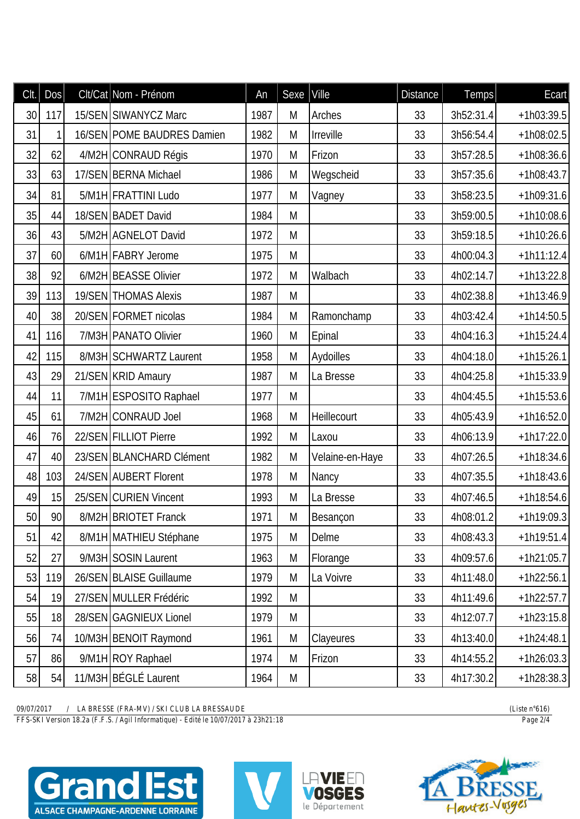| Clt. | Dos | Clt/Cat Nom - Prénom       | An   | Sexe | Ville           | <b>Distance</b> | Temps     | Ecart        |
|------|-----|----------------------------|------|------|-----------------|-----------------|-----------|--------------|
| 30   | 117 | 15/SEN SIWANYCZ Marc       | 1987 | M    | Arches          | 33              | 3h52:31.4 | $+1h03:39.5$ |
| 31   | 1   | 16/SEN POME BAUDRES Damien | 1982 | M    | Irreville       | 33              | 3h56:54.4 | $+1h08:02.5$ |
| 32   | 62  | 4/M2H CONRAUD Régis        | 1970 | M    | Frizon          | 33              | 3h57:28.5 | $+1h08:36.6$ |
| 33   | 63  | 17/SEN BERNA Michael       | 1986 | M    | Wegscheid       | 33              | 3h57:35.6 | $+1h08:43.7$ |
| 34   | 81  | 5/M1H FRATTINI Ludo        | 1977 | M    | Vagney          | 33              | 3h58:23.5 | $+1h09:31.6$ |
| 35   | 44  | 18/SEN BADET David         | 1984 | M    |                 | 33              | 3h59:00.5 | $+1h10:08.6$ |
| 36   | 43  | 5/M2H AGNELOT David        | 1972 | M    |                 | 33              | 3h59:18.5 | $+1h10:26.6$ |
| 37   | 60  | 6/M1H FABRY Jerome         | 1975 | M    |                 | 33              | 4h00:04.3 | $+1h11:12.4$ |
| 38   | 92  | 6/M2H BEASSE Olivier       | 1972 | M    | Walbach         | 33              | 4h02:14.7 | $+1h13:22.8$ |
| 39   | 113 | 19/SEN THOMAS Alexis       | 1987 | M    |                 | 33              | 4h02:38.8 | $+1h13:46.9$ |
| 40   | 38  | 20/SEN FORMET nicolas      | 1984 | M    | Ramonchamp      | 33              | 4h03:42.4 | $+1h14:50.5$ |
| 41   | 116 | 7/M3H PANATO Olivier       | 1960 | M    | Epinal          | 33              | 4h04:16.3 | $+1h15:24.4$ |
| 42   | 115 | 8/M3H SCHWARTZ Laurent     | 1958 | M    | Aydoilles       | 33              | 4h04:18.0 | $+1h15:26.1$ |
| 43   | 29  | 21/SEN KRID Amaury         | 1987 | M    | La Bresse       | 33              | 4h04:25.8 | $+1h15:33.9$ |
| 44   | 11  | 7/M1H ESPOSITO Raphael     | 1977 | M    |                 | 33              | 4h04:45.5 | $+1h15:53.6$ |
| 45   | 61  | 7/M2H CONRAUD Joel         | 1968 | M    | Heillecourt     | 33              | 4h05:43.9 | $+1h16:52.0$ |
| 46   | 76  | 22/SEN FILLIOT Pierre      | 1992 | M    | Laxou           | 33              | 4h06:13.9 | $+1h17:22.0$ |
| 47   | 40  | 23/SEN BLANCHARD Clément   | 1982 | M    | Velaine-en-Haye | 33              | 4h07:26.5 | $+1h18:34.6$ |
| 48   | 103 | 24/SEN AUBERT Florent      | 1978 | M    | Nancy           | 33              | 4h07:35.5 | $+1h18:43.6$ |
| 49   | 15  | 25/SEN CURIEN Vincent      | 1993 | M    | La Bresse       | 33              | 4h07:46.5 | $+1h18:54.6$ |
| 50   | 90  | 8/M2H BRIOTET Franck       | 1971 | M    | Besançon        | 33              | 4h08:01.2 | $+1h19:09.3$ |
| 51   | 42  | 8/M1H MATHIEU Stéphane     | 1975 | M    | Delme           | 33              | 4h08:43.3 | $+1h19:51.4$ |
| 52   | 27  | 9/M3H SOSIN Laurent        | 1963 | M    | Florange        | 33              | 4h09:57.6 | $+1h21:05.7$ |
| 53   | 119 | 26/SEN BLAISE Guillaume    | 1979 | M    | La Voivre       | 33              | 4h11:48.0 | $+1h22:56.1$ |
| 54   | 19  | 27/SEN MULLER Frédéric     | 1992 | M    |                 | 33              | 4h11:49.6 | $+1h22:57.7$ |
| 55   | 18  | 28/SEN GAGNIEUX Lionel     | 1979 | M    |                 | 33              | 4h12:07.7 | $+1h23:15.8$ |
| 56   | 74  | 10/M3H BENOIT Raymond      | 1961 | M    | Clayeures       | 33              | 4h13:40.0 | $+1h24:48.1$ |
| 57   | 86  | 9/M1H ROY Raphael          | 1974 | M    | Frizon          | 33              | 4h14:55.2 | $+1h26:03.3$ |
| 58   | 54  | 11/M3H BÉGLÉ Laurent       | 1964 | M    |                 | 33              | 4h17:30.2 | $+1h28:38.3$ |

*09/07/2017 / LA BRESSE (FRA-MV) / SKI CLUB LA BRESSAUDE (Liste n°616)*

*FFS-SKI Version 18.2a (F.F.S. / Agil Informatique) - Edité le 10/07/2017 à 23h21:18 Page 2/4*







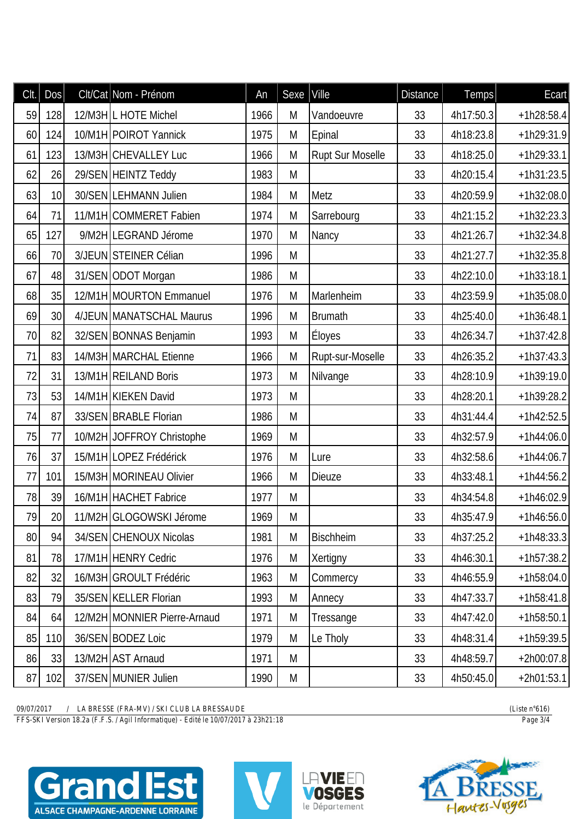| CIt. | DOS | Clt/Cat Nom - Prénom         | An   | Sexe | Ville            | <b>Distance</b> | Temps     | Ecart        |
|------|-----|------------------------------|------|------|------------------|-----------------|-----------|--------------|
| 59   | 128 | 12/M3H L HOTE Michel         | 1966 | M    | Vandoeuvre       | 33              | 4h17:50.3 | $+1h28:58.4$ |
| 60   | 124 | 10/M1H POIROT Yannick        | 1975 | M    | Epinal           | 33              | 4h18:23.8 | $+1h29:31.9$ |
| 61   | 123 | 13/M3H CHEVALLEY Luc         | 1966 | M    | Rupt Sur Moselle | 33              | 4h18:25.0 | $+1h29:33.1$ |
| 62   | 26  | 29/SEN HEINTZ Teddy          | 1983 | M    |                  | 33              | 4h20:15.4 | $+1h31:23.5$ |
| 63   | 10  | 30/SEN LEHMANN Julien        | 1984 | M    | Metz             | 33              | 4h20:59.9 | $+1h32:08.0$ |
| 64   | 71  | 11/M1H COMMERET Fabien       | 1974 | M    | Sarrebourg       | 33              | 4h21:15.2 | $+1h32:23.3$ |
| 65   | 127 | 9/M2H LEGRAND Jérome         | 1970 | M    | Nancy            | 33              | 4h21:26.7 | $+1h32:34.8$ |
| 66   | 70  | 3/JEUN STEINER Célian        | 1996 | M    |                  | 33              | 4h21:27.7 | $+1h32:35.8$ |
| 67   | 48  | 31/SEN ODOT Morgan           | 1986 | M    |                  | 33              | 4h22:10.0 | $+1h33:18.1$ |
| 68   | 35  | 12/M1H MOURTON Emmanuel      | 1976 | M    | Marlenheim       | 33              | 4h23:59.9 | $+1h35:08.0$ |
| 69   | 30  | 4/JEUN MANATSCHAL Maurus     | 1996 | M    | <b>Brumath</b>   | 33              | 4h25:40.0 | $+1h36:48.1$ |
| 70   | 82  | 32/SEN BONNAS Benjamin       | 1993 | M    | Éloyes           | 33              | 4h26:34.7 | $+1h37:42.8$ |
| 71   | 83  | 14/M3H MARCHAL Etienne       | 1966 | M    | Rupt-sur-Moselle | 33              | 4h26:35.2 | $+1h37:43.3$ |
| 72   | 31  | 13/M1H REILAND Boris         | 1973 | M    | Nilvange         | 33              | 4h28:10.9 | $+1h39:19.0$ |
| 73   | 53  | 14/M1H KIEKEN David          | 1973 | M    |                  | 33              | 4h28:20.1 | $+1h39:28.2$ |
| 74   | 87  | 33/SEN BRABLE Florian        | 1986 | M    |                  | 33              | 4h31:44.4 | $+1h42:52.5$ |
| 75   | 77  | 10/M2H JOFFROY Christophe    | 1969 | M    |                  | 33              | 4h32:57.9 | $+1h44:06.0$ |
| 76   | 37  | 15/M1H LOPEZ Frédérick       | 1976 | M    | Lure             | 33              | 4h32:58.6 | $+1h44:06.7$ |
| 77   | 101 | 15/M3H MORINEAU Olivier      | 1966 | M    | <b>Dieuze</b>    | 33              | 4h33:48.1 | $+1h44:56.2$ |
| 78   | 39  | 16/M1H HACHET Fabrice        | 1977 | M    |                  | 33              | 4h34:54.8 | $+1h46:02.9$ |
| 79   | 20  | 11/M2H GLOGOWSKI Jérome      | 1969 | M    |                  | 33              | 4h35:47.9 | $+1h46:56.0$ |
| 80   | 94  | 34/SEN CHENOUX Nicolas       | 1981 | M    | <b>Bischheim</b> | 33              | 4h37:25.2 | $+1h48:33.3$ |
| 81   | 78  | 17/M1H HENRY Cedric          | 1976 | M    | Xertigny         | 33              | 4h46:30.1 | $+1h57:38.2$ |
| 82   | 32  | 16/M3H GROULT Frédéric       | 1963 | M    | Commercy         | 33              | 4h46:55.9 | $+1h58:04.0$ |
| 83   | 79  | 35/SEN KELLER Florian        | 1993 | M    | Annecy           | 33              | 4h47:33.7 | $+1h58:41.8$ |
| 84   | 64  | 12/M2H MONNIER Pierre-Arnaud | 1971 | M    | Tressange        | 33              | 4h47:42.0 | $+1h58:50.1$ |
| 85   | 110 | 36/SEN BODEZ Loic            | 1979 | M    | Le Tholy         | 33              | 4h48:31.4 | $+1h59:39.5$ |
| 86   | 33  | 13/M2H AST Arnaud            | 1971 | M    |                  | 33              | 4h48:59.7 | $+2h00:07.8$ |
| 87   | 102 | 37/SEN MUNIER Julien         | 1990 | M    |                  | 33              | 4h50:45.0 | $+2h01:53.1$ |

*09/07/2017 / LA BRESSE (FRA-MV) / SKI CLUB LA BRESSAUDE (Liste n°616)*

*FFS-SKI Version 18.2a (F.F.S. / Agil Informatique) - Edité le 10/07/2017 à 23h21:18 Page 3/4*